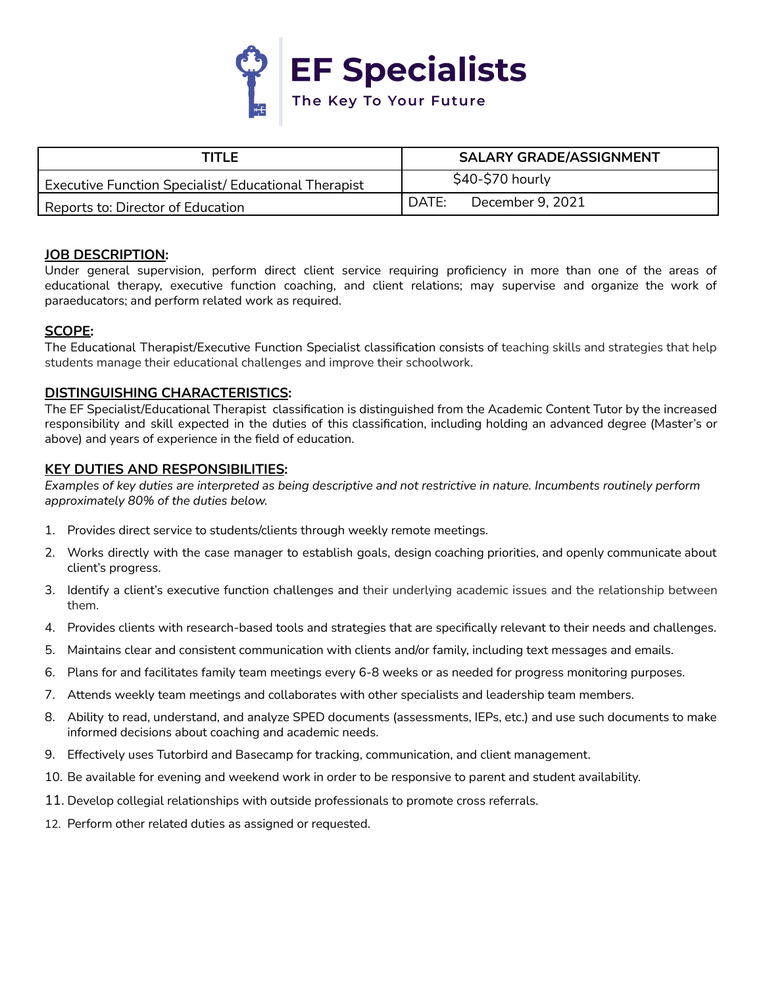

| TITLF                                                       | <b>SALARY GRADE/ASSIGNMENT</b> |
|-------------------------------------------------------------|--------------------------------|
| <b>Executive Function Specialist/ Educational Therapist</b> | \$40-\$70 hourly               |
| l Reports to: Director of Education                         | DATE:<br>December 9, 2021      |

### **JOB DESCRIPTION:**

Under general supervision, perform direct client service requiring proficiency in more than one of the areas of educational therapy, executive function coaching, and client relations; may supervise and organize the work of paraeducators; and perform related work as required.

### **SCOPE:**

The Educational Therapist/Executive Function Specialist classification consists of teaching skills and strategies that help students manage their educational challenges and improve their schoolwork.

### **DISTINGUISHING CHARACTERISTICS:**

The EF Specialist/Educational Therapist classification is distinguished from the Academic Content Tutor by the increased responsibility and skill expected in the duties of this classification, including holding an advanced degree (Master's or above) and years of experience in the field of education.

### **KEY DUTIES AND RESPONSIBILITIES:**

Examples of key duties are interpreted as being descriptive and not restrictive in nature. Incumbents routinely perform *approximately 80% of the duties below.*

- 1. Provides direct service to students/clients through weekly remote meetings.
- 2. Works directly with the case manager to establish goals, design coaching priorities, and openly communicate about client's progress.
- 3. Identify a client's executive function challenges and their underlying academic issues and the relationship between them.
- 4. Provides clients with research-based tools and strategies that are specifically relevant to their needs and challenges.
- 5. Maintains clear and consistent communication with clients and/or family, including text messages and emails.
- 6. Plans for and facilitates family team meetings every 6-8 weeks or as needed for progress monitoring purposes.
- 7. Attends weekly team meetings and collaborates with other specialists and leadership team members.
- 8. Ability to read, understand, and analyze SPED documents (assessments, IEPs, etc.) and use such documents to make informed decisions about coaching and academic needs.
- 9. Effectively uses Tutorbird and Basecamp for tracking, communication, and client management.
- 10. Be available for evening and weekend work in order to be responsive to parent and student availability.
- 11. Develop collegial relationships with outside professionals to promote cross referrals.
- 12. Perform other related duties as assigned or requested.